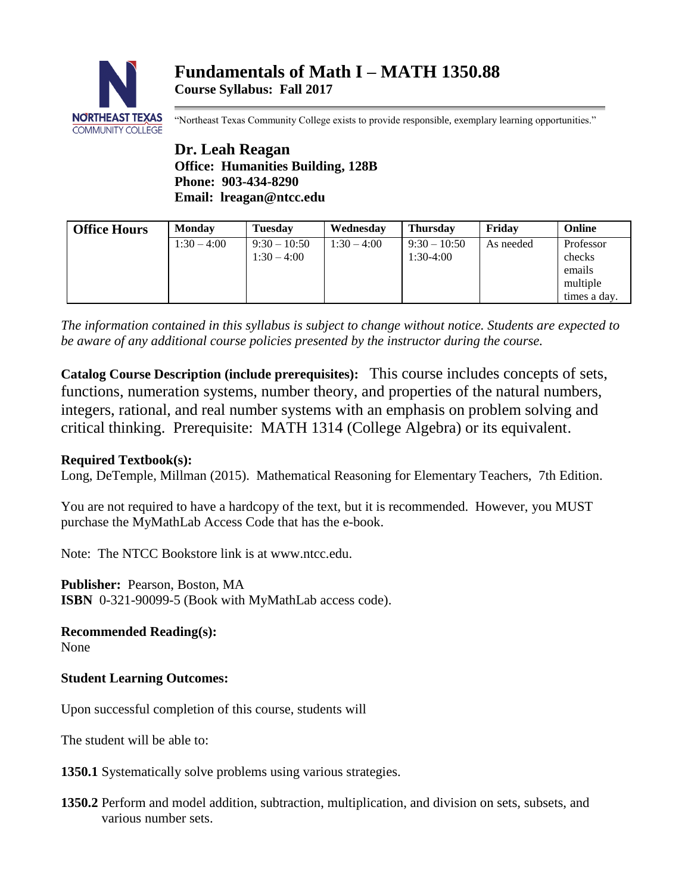

"Northeast Texas Community College exists to provide responsible, exemplary learning opportunities."

**Dr. Leah Reagan Office: Humanities Building, 128B Phone: 903-434-8290 Email: lreagan@ntcc.edu**

| <b>Office Hours</b> | <b>Monday</b> | <b>Tuesday</b>                  | Wednesday     | <b>Thursday</b>               | Fridav    | Online                                                    |
|---------------------|---------------|---------------------------------|---------------|-------------------------------|-----------|-----------------------------------------------------------|
|                     | $1:30 - 4:00$ | $9:30 - 10:50$<br>$1:30 - 4:00$ | $1:30 - 4:00$ | $9:30 - 10:50$<br>$1:30-4:00$ | As needed | Professor<br>checks<br>emails<br>multiple<br>times a day. |

*The information contained in this syllabus is subject to change without notice. Students are expected to be aware of any additional course policies presented by the instructor during the course.*

**Catalog Course Description (include prerequisites):** This course includes concepts of sets, functions, numeration systems, number theory, and properties of the natural numbers, integers, rational, and real number systems with an emphasis on problem solving and critical thinking. Prerequisite: MATH 1314 (College Algebra) or its equivalent.

# **Required Textbook(s):**

Long, DeTemple, Millman (2015). Mathematical Reasoning for Elementary Teachers, 7th Edition.

You are not required to have a hardcopy of the text, but it is recommended. However, you MUST purchase the MyMathLab Access Code that has the e-book.

Note: The NTCC Bookstore link is at www.ntcc.edu.

**Publisher:** Pearson, Boston, MA **ISBN** 0-321-90099-5 (Book with MyMathLab access code).

**Recommended Reading(s):** None

# **Student Learning Outcomes:**

Upon successful completion of this course, students will

The student will be able to:

**1350.1** Systematically solve problems using various strategies.

**1350.2** Perform and model addition, subtraction, multiplication, and division on sets, subsets, and various number sets.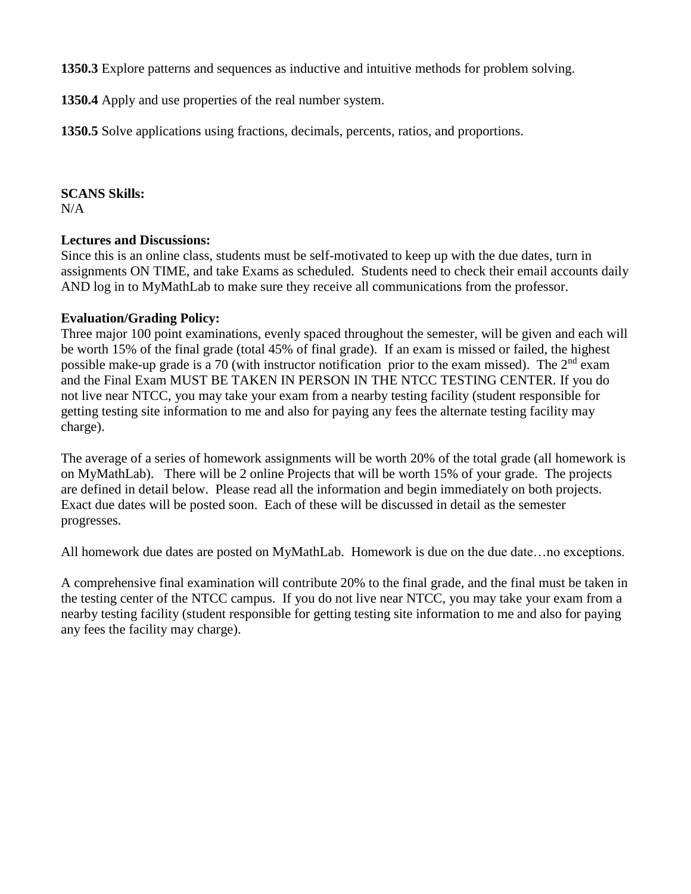**1350.3** Explore patterns and sequences as inductive and intuitive methods for problem solving.

**1350.4** Apply and use properties of the real number system.

**1350.5** Solve applications using fractions, decimals, percents, ratios, and proportions.

### **SCANS Skills:**

 $N/A$ 

### **Lectures and Discussions:**

Since this is an online class, students must be self-motivated to keep up with the due dates, turn in assignments ON TIME, and take Exams as scheduled. Students need to check their email accounts daily AND log in to MyMathLab to make sure they receive all communications from the professor.

### **Evaluation/Grading Policy:**

Three major 100 point examinations, evenly spaced throughout the semester, will be given and each will be worth 15% of the final grade (total 45% of final grade). If an exam is missed or failed, the highest possible make-up grade is a 70 (with instructor notification prior to the exam missed). The 2<sup>nd</sup> exam and the Final Exam MUST BE TAKEN IN PERSON IN THE NTCC TESTING CENTER. If you do not live near NTCC, you may take your exam from a nearby testing facility (student responsible for getting testing site information to me and also for paying any fees the alternate testing facility may charge).

The average of a series of homework assignments will be worth 20% of the total grade (all homework is on MyMathLab). There will be 2 online Projects that will be worth 15% of your grade. The projects are defined in detail below. Please read all the information and begin immediately on both projects. Exact due dates will be posted soon. Each of these will be discussed in detail as the semester progresses.

All homework due dates are posted on MyMathLab. Homework is due on the due date…no exceptions.

A comprehensive final examination will contribute 20% to the final grade, and the final must be taken in the testing center of the NTCC campus. If you do not live near NTCC, you may take your exam from a nearby testing facility (student responsible for getting testing site information to me and also for paying any fees the facility may charge).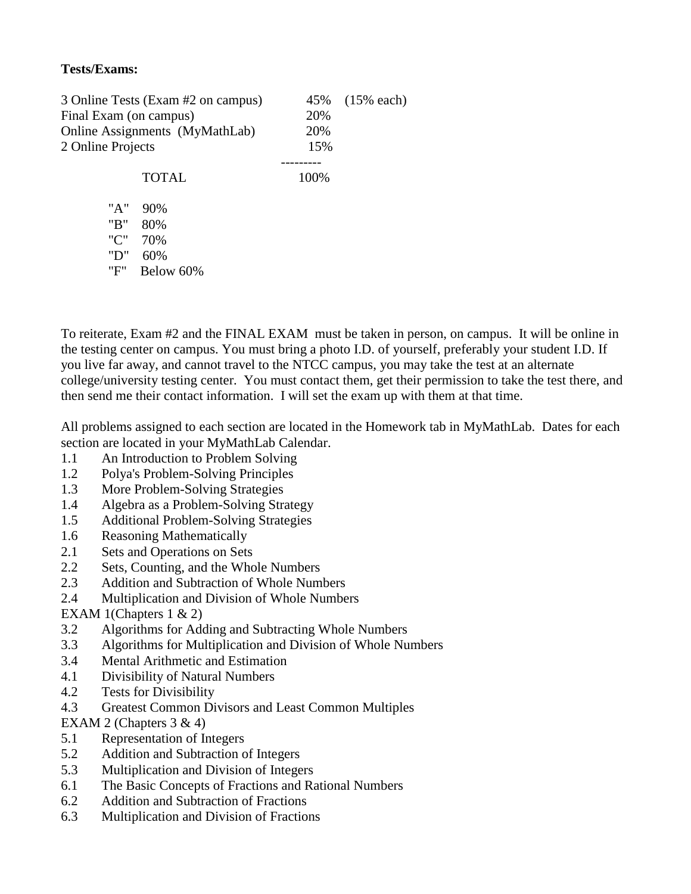# **Tests/Exams:**

|                        | 3 Online Tests (Exam #2 on campus) |      | 45% (15% each) |
|------------------------|------------------------------------|------|----------------|
| Final Exam (on campus) |                                    | 20%  |                |
|                        | Online Assignments (MyMathLab)     | 20%  |                |
| 2 Online Projects      |                                    | 15%  |                |
|                        |                                    |      |                |
|                        | <b>TOTAL</b>                       | 100% |                |
| "A"                    | 90%                                |      |                |
| "B"                    | 80%                                |      |                |
| "C"                    | 70%                                |      |                |
| "D"                    | 60%                                |      |                |
| "F"                    | Below 60%                          |      |                |

To reiterate, Exam #2 and the FINAL EXAM must be taken in person, on campus. It will be online in the testing center on campus. You must bring a photo I.D. of yourself, preferably your student I.D. If you live far away, and cannot travel to the NTCC campus, you may take the test at an alternate college/university testing center. You must contact them, get their permission to take the test there, and then send me their contact information. I will set the exam up with them at that time.

All problems assigned to each section are located in the Homework tab in MyMathLab. Dates for each section are located in your MyMathLab Calendar.

- 1.1 An Introduction to Problem Solving
- 1.2 Polya's Problem-Solving Principles
- 1.3 More Problem-Solving Strategies
- 1.4 Algebra as a Problem-Solving Strategy
- 1.5 Additional Problem-Solving Strategies
- 1.6 Reasoning Mathematically
- 2.1 Sets and Operations on Sets
- 2.2 Sets, Counting, and the Whole Numbers
- 2.3 Addition and Subtraction of Whole Numbers
- 2.4 Multiplication and Division of Whole Numbers
- EXAM 1(Chapters 1 & 2)
- 3.2 Algorithms for Adding and Subtracting Whole Numbers
- 3.3 Algorithms for Multiplication and Division of Whole Numbers
- 3.4 Mental Arithmetic and Estimation
- 4.1 Divisibility of Natural Numbers
- 4.2 Tests for Divisibility
- 4.3 Greatest Common Divisors and Least Common Multiples
- EXAM 2 (Chapters 3 & 4)
- 5.1 Representation of Integers
- 5.2 Addition and Subtraction of Integers
- 5.3 Multiplication and Division of Integers
- 6.1 The Basic Concepts of Fractions and Rational Numbers
- 6.2 Addition and Subtraction of Fractions
- 6.3 Multiplication and Division of Fractions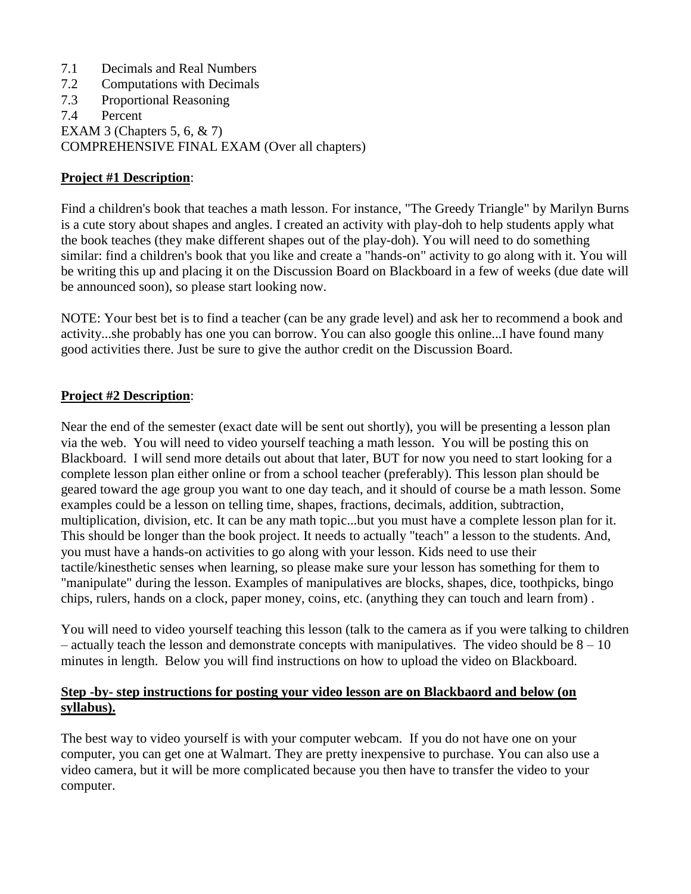- 7.1 Decimals and Real Numbers
- 7.2 Computations with Decimals
- 7.3 Proportional Reasoning
- 7.4 Percent

EXAM 3 (Chapters 5, 6, & 7) COMPREHENSIVE FINAL EXAM (Over all chapters)

### **Project #1 Description**:

Find a children's book that teaches a math lesson. For instance, "The Greedy Triangle" by Marilyn Burns is a cute story about shapes and angles. I created an activity with play-doh to help students apply what the book teaches (they make different shapes out of the play-doh). You will need to do something similar: find a children's book that you like and create a "hands-on" activity to go along with it. You will be writing this up and placing it on the Discussion Board on Blackboard in a few of weeks (due date will be announced soon), so please start looking now.

NOTE: Your best bet is to find a teacher (can be any grade level) and ask her to recommend a book and activity...she probably has one you can borrow. You can also google this online...I have found many good activities there. Just be sure to give the author credit on the Discussion Board.

### **Project #2 Description**:

Near the end of the semester (exact date will be sent out shortly), you will be presenting a lesson plan via the web. You will need to video yourself teaching a math lesson. You will be posting this on Blackboard. I will send more details out about that later, BUT for now you need to start looking for a complete lesson plan either online or from a school teacher (preferably). This lesson plan should be geared toward the age group you want to one day teach, and it should of course be a math lesson. Some examples could be a lesson on telling time, shapes, fractions, decimals, addition, subtraction, multiplication, division, etc. It can be any math topic...but you must have a complete lesson plan for it. This should be longer than the book project. It needs to actually "teach" a lesson to the students. And, you must have a hands-on activities to go along with your lesson. Kids need to use their tactile/kinesthetic senses when learning, so please make sure your lesson has something for them to "manipulate" during the lesson. Examples of manipulatives are blocks, shapes, dice, toothpicks, bingo chips, rulers, hands on a clock, paper money, coins, etc. (anything they can touch and learn from) .

You will need to video yourself teaching this lesson (talk to the camera as if you were talking to children  $-$  actually teach the lesson and demonstrate concepts with manipulatives. The video should be  $8 - 10$ minutes in length. Below you will find instructions on how to upload the video on Blackboard.

### **Step -by- step instructions for posting your video lesson are on Blackbaord and below (on syllabus).**

The best way to video yourself is with your computer webcam. If you do not have one on your computer, you can get one at Walmart. They are pretty inexpensive to purchase. You can also use a video camera, but it will be more complicated because you then have to transfer the video to your computer.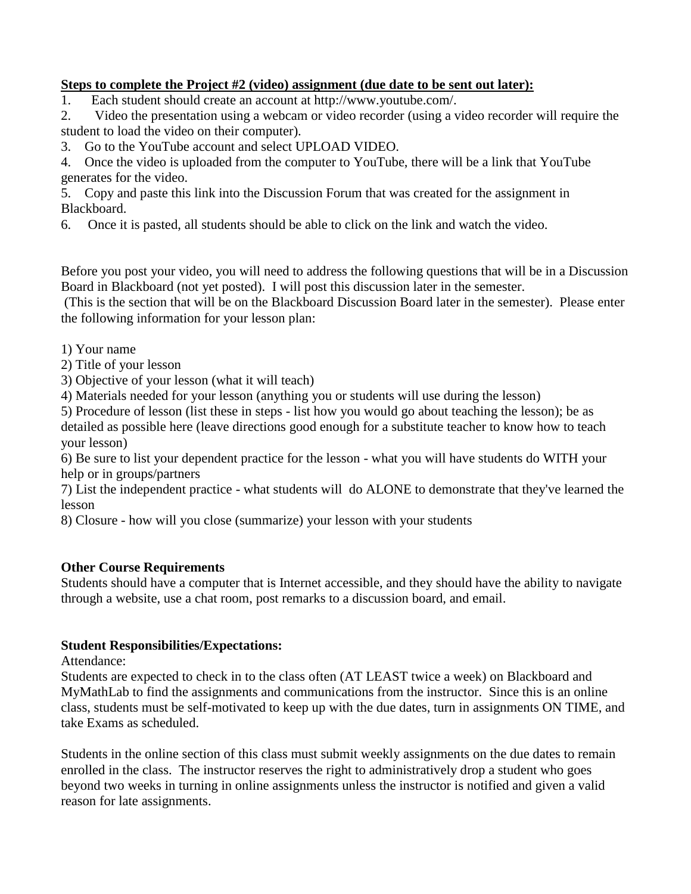### **Steps to complete the Project #2 (video) assignment (due date to be sent out later):**

1. Each student should create an account at http://www.youtube.com/.

2. Video the presentation using a webcam or video recorder (using a video recorder will require the student to load the video on their computer).

3. Go to the YouTube account and select UPLOAD VIDEO.

4. Once the video is uploaded from the computer to YouTube, there will be a link that YouTube generates for the video.

5. Copy and paste this link into the Discussion Forum that was created for the assignment in Blackboard.

6. Once it is pasted, all students should be able to click on the link and watch the video.

Before you post your video, you will need to address the following questions that will be in a Discussion Board in Blackboard (not yet posted). I will post this discussion later in the semester.

(This is the section that will be on the Blackboard Discussion Board later in the semester). Please enter the following information for your lesson plan:

1) Your name

2) Title of your lesson

3) Objective of your lesson (what it will teach)

4) Materials needed for your lesson (anything you or students will use during the lesson)

5) Procedure of lesson (list these in steps - list how you would go about teaching the lesson); be as detailed as possible here (leave directions good enough for a substitute teacher to know how to teach your lesson)

6) Be sure to list your dependent practice for the lesson - what you will have students do WITH your help or in groups/partners

7) List the independent practice - what students will do ALONE to demonstrate that they've learned the lesson

8) Closure - how will you close (summarize) your lesson with your students

# **Other Course Requirements**

Students should have a computer that is Internet accessible, and they should have the ability to navigate through a website, use a chat room, post remarks to a discussion board, and email.

# **Student Responsibilities/Expectations:**

Attendance:

Students are expected to check in to the class often (AT LEAST twice a week) on Blackboard and MyMathLab to find the assignments and communications from the instructor. Since this is an online class, students must be self-motivated to keep up with the due dates, turn in assignments ON TIME, and take Exams as scheduled.

Students in the online section of this class must submit weekly assignments on the due dates to remain enrolled in the class. The instructor reserves the right to administratively drop a student who goes beyond two weeks in turning in online assignments unless the instructor is notified and given a valid reason for late assignments.